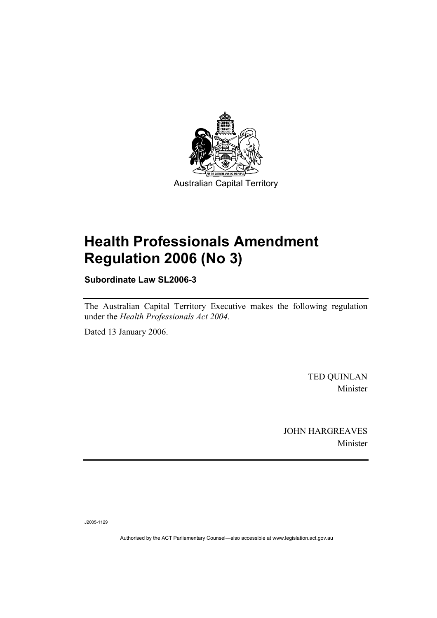

# **Health Professionals Amendment Regulation 2006 (No 3)**

**Subordinate Law SL2006-3** 

The Australian Capital Territory Executive makes the following regulation under the *Health Professionals Act 2004*.

Dated 13 January 2006.

TED QUINLAN Minister

JOHN HARGREAVES Minister

J2005-1129

Authorised by the ACT Parliamentary Counsel—also accessible at www.legislation.act.gov.au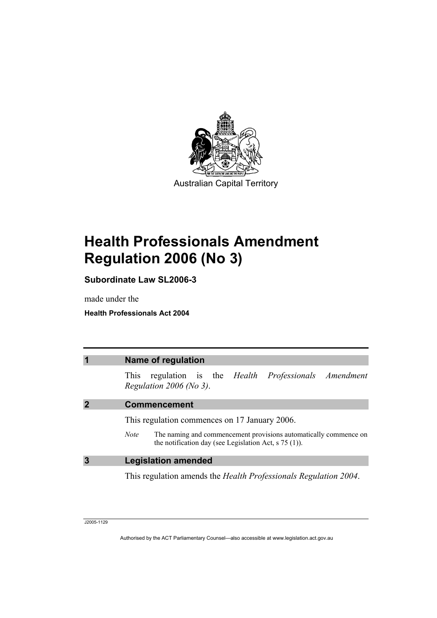

# **Health Professionals Amendment Regulation 2006 (No 3)**

**Subordinate Law SL2006-3** 

made under the

**Health Professionals Act 2004** 

| $\overline{\mathbf{1}}$ | Name of regulation                                                                                                                              |
|-------------------------|-------------------------------------------------------------------------------------------------------------------------------------------------|
|                         | regulation is the <i>Health Professionals Amendment</i><br><b>This</b><br>Regulation 2006 (No 3).                                               |
| $\overline{2}$          | <b>Commencement</b>                                                                                                                             |
|                         | This regulation commences on 17 January 2006.                                                                                                   |
|                         | The naming and commencement provisions automatically commence on<br><b>Note</b><br>the notification day (see Legislation Act, $\sigma$ 75 (1)). |
| $\overline{3}$          | <b>Legislation amended</b>                                                                                                                      |
|                         | This regulation amends the <i>Health Professionals Regulation 2004</i> .                                                                        |

J2005-1129

Authorised by the ACT Parliamentary Counsel—also accessible at www.legislation.act.gov.au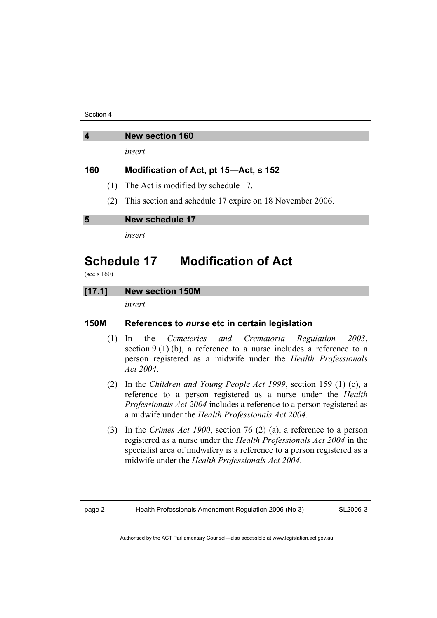Section 4

### **4 New section 160**

*insert* 

### **160 Modification of Act, pt 15—Act, s 152**

- (1) The Act is modified by schedule 17.
- (2) This section and schedule 17 expire on 18 November 2006.

**5 New schedule 17** 

*insert* 

## **Schedule 17 Modification of Act**

(see s 160)

#### **[17.1] New section 150M**

*insert* 

### **150M References to** *nurse* **etc in certain legislation**

- (1) In the *Cemeteries and Crematoria Regulation 2003*, section 9 (1) (b), a reference to a nurse includes a reference to a person registered as a midwife under the *Health Professionals Act 2004*.
- (2) In the *Children and Young People Act 1999*, section 159 (1) (c), a reference to a person registered as a nurse under the *Health Professionals Act 2004* includes a reference to a person registered as a midwife under the *Health Professionals Act 2004*.
- (3) In the *Crimes Act 1900*, section 76 (2) (a), a reference to a person registered as a nurse under the *Health Professionals Act 2004* in the specialist area of midwifery is a reference to a person registered as a midwife under the *Health Professionals Act 2004*.

SL2006-3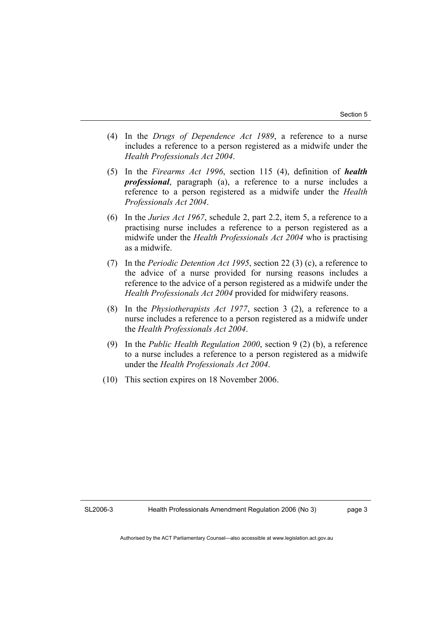- (4) In the *Drugs of Dependence Act 1989*, a reference to a nurse includes a reference to a person registered as a midwife under the *Health Professionals Act 2004*.
- (5) In the *Firearms Act 1996*, section 115 (4), definition of *health professional*, paragraph (a), a reference to a nurse includes a reference to a person registered as a midwife under the *Health Professionals Act 2004*.
- (6) In the *Juries Act 1967*, schedule 2, part 2.2, item 5, a reference to a practising nurse includes a reference to a person registered as a midwife under the *Health Professionals Act 2004* who is practising as a midwife.
- (7) In the *Periodic Detention Act 1995*, section 22 (3) (c), a reference to the advice of a nurse provided for nursing reasons includes a reference to the advice of a person registered as a midwife under the *Health Professionals Act 2004* provided for midwifery reasons.
- (8) In the *Physiotherapists Act 1977*, section 3 (2), a reference to a nurse includes a reference to a person registered as a midwife under the *Health Professionals Act 2004*.
- (9) In the *Public Health Regulation 2000*, section 9 (2) (b), a reference to a nurse includes a reference to a person registered as a midwife under the *Health Professionals Act 2004*.
- (10) This section expires on 18 November 2006.

page 3